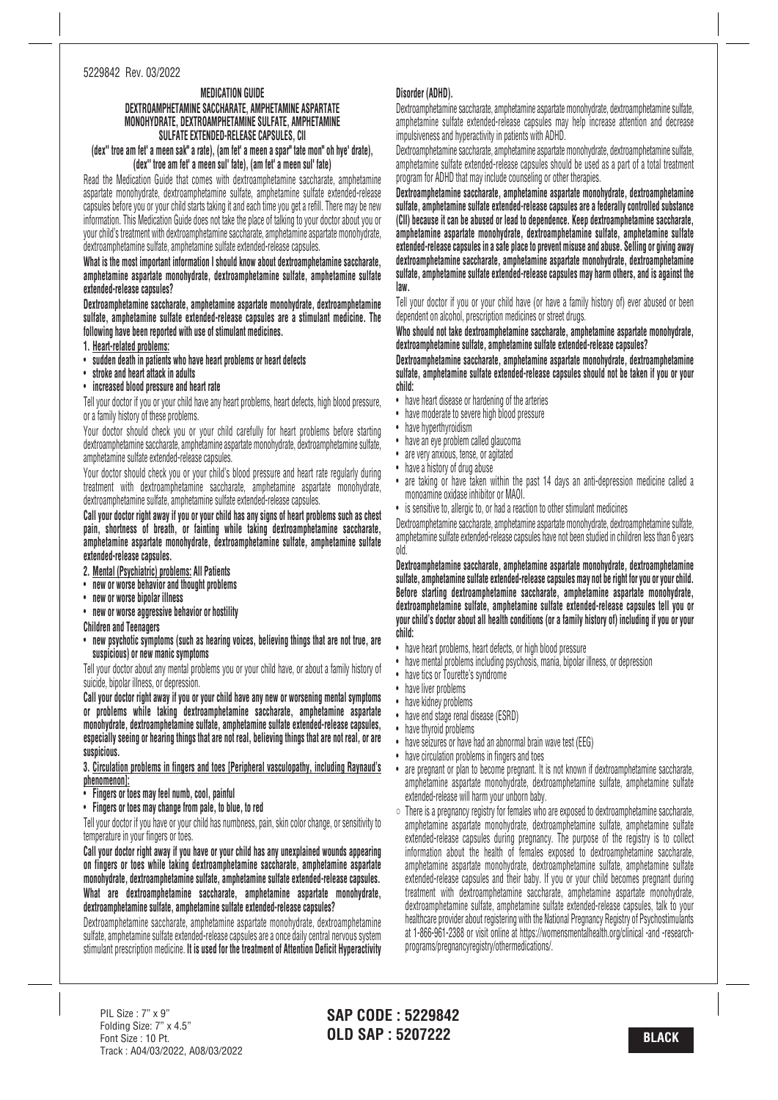#### 5229842 Rev. 03/2022

### **MEDICATION GUIDE**

# **DEXTROAMPHETAMINE SACCHARATE, AMPHETAMINE ASPARTATE MONOHYDRATE, DEXTROAMPHETAMINE SULFATE, AMPHETAMINE SULFATE EXTENDED-RELEASE CAPSULES, CII**

## (dex" troe am fet' a meen sak" a rate), (am fet' a meen a spar" tate mon" oh hye' drate), **(dex'' troe am fet' <sup>a</sup> meen sul' fate), (am fet' <sup>a</sup> meen sul' fate)**

Read the Medication Guide that comes with dextroamphetamine saccharate, amphetamine aspartate monohydrate, dextroamphetamine sulfate, amphetamine sulfate extended-release capsules before you or your child starts taking it and each time you get a refill. There may be new information. This Medication Guide does not take the place of talking to your doctor about you or your child's treatment with dextroamphetamine saccharate, amphetamine aspartate monohydrate, dextroamphetamine sulfate, amphetamine sulfate extended-release capsules.

**What is the most important information I should know about dextroamphetamine saccharate, amphetamine aspartate monohydrate, dextroamphetamine sulfate, amphetamine sulfate extended-release capsules?**

**Dextroamphetamine saccharate, amphetamine aspartate monohydrate, dextroamphetamine sulfate, amphetamine sulfate extended-release capsules are a stimulant medicine. The following have been reported with use of stimulant medicines.**

- **1. Heart-related problems:**
- **sudden death in patients who have heart problems or heart defects**
- **stroke and heart attack in adults**
- **increased blood pressure and heart rate**

Tell your doctor if you or your child have any heart problems, heart defects, high blood pressure, or a family history of these problems.

Your doctor should check you or your child carefully for heart problems before starting dextroamphetamine saccharate, amphetamine aspartate monohydrate, dextroamphetamine sulfate, amphetamine sulfate extended-release capsules.

Your doctor should check you or your child's blood pressure and heart rate regularly during treatment with dextroamphetamine saccharate, amphetamine aspartate monohydrate, dextroamphetamine sulfate, amphetamine sulfate extended-release capsules.

Call your doctor right away if you or your child has any signs of heart problems such as chest **pain, shortness of breath, or fainting while taking dextroamphetamine saccharate, amphetamine aspartate monohydrate, dextroamphetamine sulfate, amphetamine sulfate extended-release capsules.**

- **2. Mental (Psychiatric) problems: All Patients**
- **new or worse behavior and thought problems**
- **new or worse bipolar illness**
- **new or worse aggressive behavior or hostility**

**Children and Teenagers**

• **new psychotic symptoms (such as hearing voices, believing things that are not true, are suspicious) or new manic symptoms**

Tell your doctor about any mental problems you or your child have, or about a family history of suicide, bipolar illness, or depression.

**Call your doctor right away if you or your child have any new or worsening mental symptoms or problems while taking dextroamphetamine saccharate, amphetamine aspartate monohydrate, dextroamphetamine sulfate, amphetamine sulfate extended-release capsules, especially seeing or hearing things that are not real, believing things that are not real, or are suspicious.**

**3. Circulation problems in fingers and toes [Peripheral vasculopathy, including Raynaud's phenomenon]:**

- **Fingers or toes may feel numb, cool, painful**
- **Fingers or toes may change from pale, to blue, to red**

Tell your doctor if you have or your child has numbness, pain, skin color change, or sensitivity to temperature in your fingers or toes.

**Call your doctor right away if you have or your child has any unexplained wounds appearing on fingers or toes while taking dextroamphetamine saccharate, amphetamine aspartate monohydrate, dextroamphetamine sulfate, amphetamine sulfate extended-release capsules. What are dextroamphetamine saccharate, amphetamine aspartate monohydrate, dextroamphetamine sulfate, amphetamine sulfate extended-release capsules?**

Dextroamphetamine saccharate, amphetamine aspartate monohydrate, dextroamphetamine sulfate, amphetamine sulfate extended-release capsules are a once daily central nervous system stimulant prescription medicine. **It is used for the treatment of Attention Deficit Hyperactivity**

# **Disorder (ADHD).**

Dextroamphetamine saccharate, amphetamine aspartate monohydrate, dextroamphetamine sulfate, amphetamine sulfate extended-release capsules may help increase attention and decrease impulsiveness and hyperactivity in patients with ADHD.

Dextroamphetamine saccharate, amphetamine aspartate monohydrate, dextroamphetamine sulfate, amphetamine sulfate extended-release capsules should be used as a part of a total treatment program for ADHD that may include counseling or other therapies.

**Dextroamphetamine saccharate, amphetamine aspartate monohydrate, dextroamphetamine sulfate, amphetamine sulfate extended-release capsules are a federally controlled substance (CII) because it can be abused or lead to dependence. Keep dextroamphetamine saccharate, amphetamine aspartate monohydrate, dextroamphetamine sulfate, amphetamine sulfate extended-release capsules in a safe place to prevent misuse and abuse. Selling or giving away dextroamphetamine saccharate, amphetamine aspartate monohydrate, dextroamphetamine sulfate, amphetamine sulfate extended-release capsules may harm others, and is against the law.**

Tell your doctor if you or your child have (or have a family history of) ever abused or been dependent on alcohol, prescription medicines or street drugs.

**Who should not take dextroamphetamine saccharate, amphetamine aspartate monohydrate, dextroamphetamine sulfate, amphetamine sulfate extended-release capsules?**

**Dextroamphetamine saccharate, amphetamine aspartate monohydrate, dextroamphetamine sulfate, amphetamine sulfate extended-release capsules should not be taken if you or your child:**

- have heart disease or hardening of the arteries
- have moderate to severe high blood pressure
- have hyperthyroidism
- have an eye problem called glaucoma
- are very anxious, tense, or agitated
- have a history of drug abuse
- are taking or have taken within the past 14 days an anti-depression medicine called a monoamine oxidase inhibitor or MAOI.
- is sensitive to, allergic to, or had a reaction to other stimulant medicines

Dextroamphetamine saccharate, amphetamine aspartate monohydrate, dextroamphetamine sulfate, amphetamine sulfate extended-release capsules have not been studied in children less than 6 years old.

**Dextroamphetamine saccharate, amphetamine aspartate monohydrate, dextroamphetamine sulfate, amphetamine sulfate extended-release capsules may not be right for you or your child. Before starting dextroamphetamine saccharate, amphetamine aspartate monohydrate, dextroamphetamine sulfate, amphetamine sulfate extended-release capsules tell you or your child's doctor about all health conditions (or a family history of) including if you or your child:**

- have heart problems, heart defects, or high blood pressure
- have mental problems including psychosis, mania, bipolar illness, or depression
- have tics or Tourette's syndrome
- have liver problems
- have kidney problems
- have end stage renal disease (ESRD)
- have thyroid problems
- have seizures or have had an abnormal brain wave test (EEG)
- have circulation problems in fingers and toes
- are pregnant or plan to become pregnant. It is not known if dextroamphetamine saccharate, amphetamine aspartate monohydrate, dextroamphetamine sulfate, amphetamine sulfate extended-release will harm your unborn baby.
- There is a pregnancy registry for females who are exposed to dextroamphetamine saccharate, amphetamine aspartate monohydrate, dextroamphetamine sulfate, amphetamine sulfate extended-release capsules during pregnancy. The purpose of the registry is to collect information about the health of females exposed to dextroamphetamine saccharate, amphetamine aspartate monohydrate, dextroamphetamine sulfate, amphetamine sulfate extended-release capsules and their baby. If you or your child becomes pregnant during treatment with dextroamphetamine saccharate, amphetamine aspartate monohydrate, dextroamphetamine sulfate, amphetamine sulfate extended-release capsules, talk to your healthcare provider about registering with the National Pregnancy Registry of Psychostimulants at 1-866-961-2388 or visit online at https://womensmentalhealth.org/clinical -and -researchprograms/pregnancyregistry/othermedications/.

**SAP CODE : 5229842 OLD SAP : 5207222 BLACK**